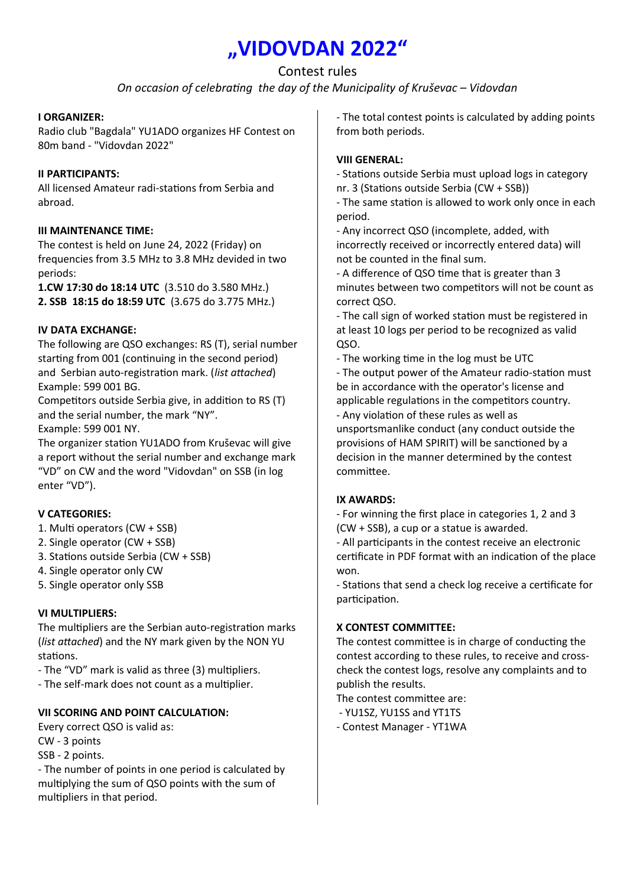# **"VIDOVDAN 2022"**

# Contest rules

*On occasion of celebrating the day of the Municipality of Kruševac – Vidovdan*

## **I ORGANIZER:**

Radio club "Bagdala" YU1ADO organizes HF Contest on 80m band - "Vidovdan 2022"

#### **II PARTICIPANTS:**

All licensed Amateur radi-stations from Serbia and abroad.

## **III MAINTENANCE TIME:**

The contest is held on June 24, 2022 (Friday) on frequencies from 3.5 MHz to 3.8 MHz devided in two periods:

**1.CW 17:30 do 18:14 UTC** (3.510 do 3.580 MHz.) **2. SSB 18:15 do 18:59 UTC** (3.675 do 3.775 MHz.)

## **IV DATA EXCHANGE:**

The following are QSO exchanges: RS (T), serial number starting from 001 (continuing in the second period) and Serbian auto-registration mark. (*list attached*) Example: 599 001 BG.

Competitors outside Serbia give, in addition to RS (T) and the serial number, the mark "NY".

Example: 599 001 NY.

The organizer station YU1ADO from Kruševac will give a report without the serial number and exchange mark "VD" on CW and the word "Vidovdan" on SSB (in log enter "VD").

## **V CATEGORIES:**

- 1. Multi operators (CW + SSB)
- 2. Single operator (CW + SSB)
- 3. Stations outside Serbia (CW + SSB)
- 4. Single operator only CW
- 5. Single operator only SSB

## **VI MULTIPLIERS:**

The multipliers are the Serbian auto-registration marks (*list attached*) and the NY mark given by the NON YU stations.

- The "VD" mark is valid as three (3) multipliers.
- The self-mark does not count as a multiplier.

## **VII SCORING AND POINT CALCULATION:**

Every correct QSO is valid as:

- CW 3 points
- SSB 2 points.

- The number of points in one period is calculated by multiplying the sum of QSO points with the sum of multipliers in that period.

- The total contest points is calculated by adding points from both periods.

#### **VIII GENERAL:**

- Stations outside Serbia must upload logs in category nr. 3 (Stations outside Serbia (CW + SSB))

- The same station is allowed to work only once in each period.

- Any incorrect QSO (incomplete, added, with incorrectly received or incorrectly entered data) will not be counted in the final sum.

- A difference of QSO time that is greater than 3 minutes between two competitors will not be count as correct QSO.

- The call sign of worked station must be registered in at least 10 logs per period to be recognized as valid QSO.

- The working time in the log must be UTC

- The output power of the Amateur radio-station must be in accordance with the operator's license and applicable regulations in the competitors country.

- Any violation of these rules as well as unsportsmanlike conduct (any conduct outside the provisions of HAM SPIRIT) will be sanctioned by a decision in the manner determined by the contest committee.

## **IX AWARDS:**

- For winning the first place in categories 1, 2 and 3 (CW + SSB), a cup or a statue is awarded.

- All participants in the contest receive an electronic certificate in PDF format with an indication of the place won.

- Stations that send a check log receive a certificate for participation.

## **X CONTEST COMMITTEE:**

The contest committee is in charge of conducting the contest according to these rules, to receive and crosscheck the contest logs, resolve any complaints and to publish the results.

The contest committee are:

- YU1SZ, YU1SS and YT1TS
- Contest Manager YT1WA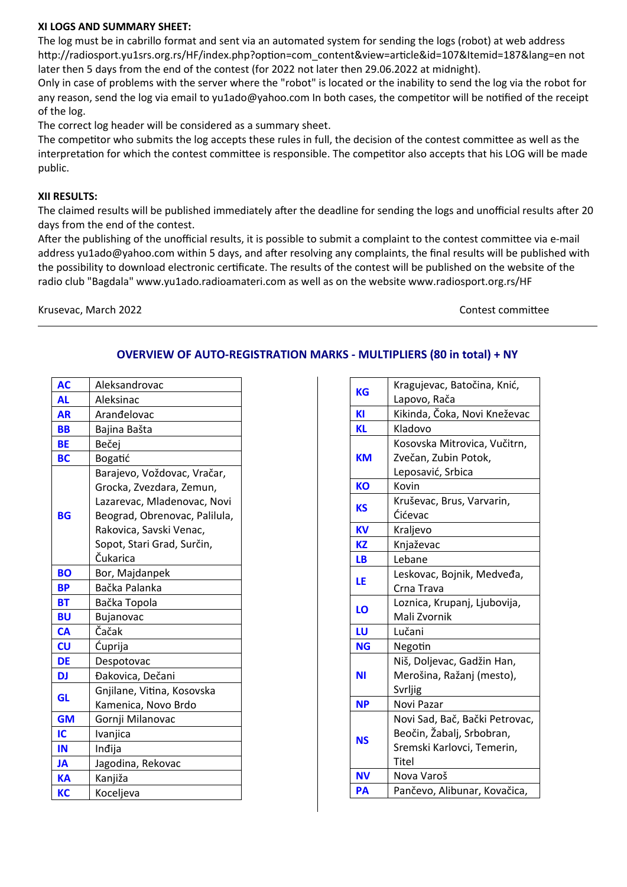#### **XI LOGS AND SUMMARY SHEET:**

The log must be in cabrillo format and sent via an automated system for sending the logs (robot) at web address http://radiosport.yu1srs.org.rs/HF/index.php?option=com\_content&view=article&id=107&Itemid=187&lang=en not later then 5 days from the end of the contest (for 2022 not later then 29.06.2022 at midnight).

Only in case of problems with the server where the "robot" is located or the inability to send the log via the robot for any reason, send the log via email to yu1ado@yahoo.com In both cases, the competitor will be notified of the receipt of the log.

The correct log header will be considered as a summary sheet.

The competitor who submits the log accepts these rules in full, the decision of the contest committee as well as the interpretation for which the contest committee is responsible. The competitor also accepts that his LOG will be made public.

#### **XII RESULTS:**

The claimed results will be published immediately after the deadline for sending the logs and unofficial results after 20 days from the end of the contest.

After the publishing of the unofficial results, it is possible to submit a complaint to the contest committee via e-mail address yu1ado@yahoo.com within 5 days, and after resolving any complaints, the final results will be published with the possibility to download electronic certificate. The results of the contest will be published on the website of the radio club "Bagdala" www.yu1ado.radioamateri.com as well as on the website www.radiosport.org.rs/HF

Krusevac, March 2022 **Contest committee** 

| <b>AC</b> | Aleksandrovac                 |
|-----------|-------------------------------|
| AL        | Aleksinac                     |
| <b>AR</b> | Arandelovac                   |
| BB        | Bajina Bašta                  |
| BE        | Bečej                         |
| BC        | Bogatić                       |
| BG        | Barajevo, Voždovac, Vračar,   |
|           | Grocka, Zvezdara, Zemun,      |
|           | Lazarevac, Mladenovac, Novi   |
|           | Beograd, Obrenovac, Palilula, |
|           | Rakovica, Savski Venac,       |
|           | Sopot, Stari Grad, Surčin,    |
|           | Čukarica                      |
| <b>BO</b> | Bor, Majdanpek                |
| ΒP        | Bačka Palanka                 |
| ВT        | Bačka Topola                  |
| BU        | <b>Bujanovac</b>              |
| <b>CA</b> | Čačak                         |
| CU        | Ćuprija                       |
| DE        | Despotovac                    |
| DJ        | Đakovica, Dečani              |
| GL        | Gnjilane, Vitina, Kosovska    |
|           | Kamenica, Novo Brdo           |
| <b>GM</b> | Gornji Milanovac              |
| IC        | Ivanjica                      |
| IN        | Indija                        |
| <b>JA</b> | Jagodina, Rekovac             |
| KA        | Kanjiža                       |
| КC        | Koceljeva                     |

# **OVERVIEW OF AUTO-REGISTRATION MARKS - MULTIPLIERS (80 in total) + NY**

| <b>KG</b> | Kragujevac, Batočina, Knić,    |
|-----------|--------------------------------|
|           | Lapovo, Rača                   |
| KI        | Kikinda, Čoka, Novi Kneževac   |
| <b>KL</b> | Kladovo                        |
| <b>KM</b> | Kosovska Mitrovica, Vučitrn,   |
|           | Zvečan, Zubin Potok,           |
|           | Leposavić, Srbica              |
| <b>KO</b> | Kovin                          |
| <b>KS</b> | Kruševac, Brus, Varvarin,      |
|           | Ćićevac                        |
| <b>KV</b> | Kraljevo                       |
| <b>KZ</b> | Knjaževac                      |
| <b>LB</b> | Lebane                         |
|           | Leskovac, Bojnik, Medveđa,     |
| LE        | Crna Trava                     |
|           | Loznica, Krupanj, Ljubovija,   |
| LO        | Mali Zvornik                   |
| LU        | Lučani                         |
| <b>NG</b> | Negotin                        |
|           | Niš, Doljevac, Gadžin Han,     |
| <b>NI</b> | Merošina, Ražanj (mesto),      |
|           | Svrljig                        |
| <b>NP</b> | Novi Pazar                     |
|           | Novi Sad, Bač, Bački Petrovac, |
| <b>NS</b> | Beočin, Žabalj, Srbobran,      |
|           | Sremski Karlovci, Temerin,     |
|           | Titel                          |
| <b>NV</b> | Nova Varoš                     |
| PA        | Pančevo, Alibunar, Kovačica,   |